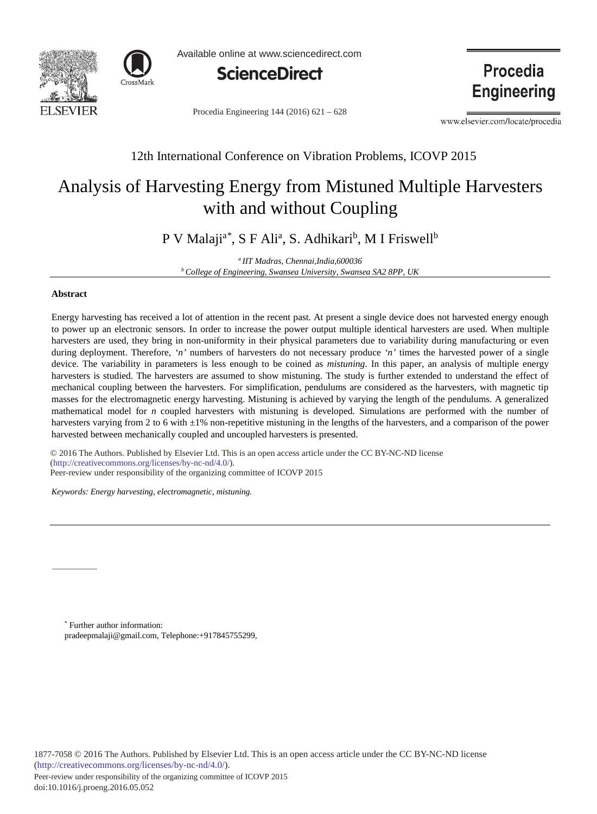



Available online at www.sciencedirect.com



Procedia Engineering 144 (2016) 621 - 628

**Procedia Engineering** 

www.elsevier.com/locate/procedia

# 12th International Conference on Vibration Problems, ICOVP 2015

# Analysis of Harvesting Energy from Mistuned Multiple Harvesters with and without Coupling

P V Malaji<sup>a\*</sup>, S F Ali<sup>a</sup>, S. Adhikari<sup>b</sup>, M I Friswell<sup>b</sup>

*a IIT Madras, Chennai,India,600036 b College of Engineering, Swansea University, Swansea SA2 8PP, UK*

## **Abstract**

Energy harvesting has received a lot of attention in the recent past. At present a single device does not harvested energy enough to power up an electronic sensors. In order to increase the power output multiple identical harvesters are used. When multiple harvesters are used, they bring in non-uniformity in their physical parameters due to variability during manufacturing or even during deployment. Therefore, *'n'* numbers of harvesters do not necessary produce *'n'* times the harvested power of a single device. The variability in parameters is less enough to be coined as *mistuning*. In this paper, an analysis of multiple energy harvesters is studied. The harvesters are assumed to show mistuning. The study is further extended to understand the effect of mechanical coupling between the harvesters. For simplification, pendulums are considered as the harvesters, with magnetic tip masses for the electromagnetic energy harvesting. Mistuning is achieved by varying the length of the pendulums. A generalized mathematical model for *n* coupled harvesters with mistuning is developed. Simulations are performed with the number of harvesters varying from 2 to 6 with  $\pm 1\%$  non-repetitive mistuning in the lengths of the harvesters, and a comparison of the power harvested between mechanically coupled and uncoupled harvesters is presented.

© 2016 The Authors. Published by Elsevier Ltd. (http://creativecommons.org/licenses/by-nc-nd/4.0/). Peer-review under responsibility of the organizing committee of ICOVP 2015. Peer-review under responsibility of the organizing committee of ICOVP 2015© 2016 The Authors. Published by Elsevier Ltd. This is an open access article under the CC BY-NC-ND license

*Keywords: Energy harvesting, electromagnetic, mistuning.*

\* Further author information: pradeepmalaji@gmail.com, Telephone:+917845755299,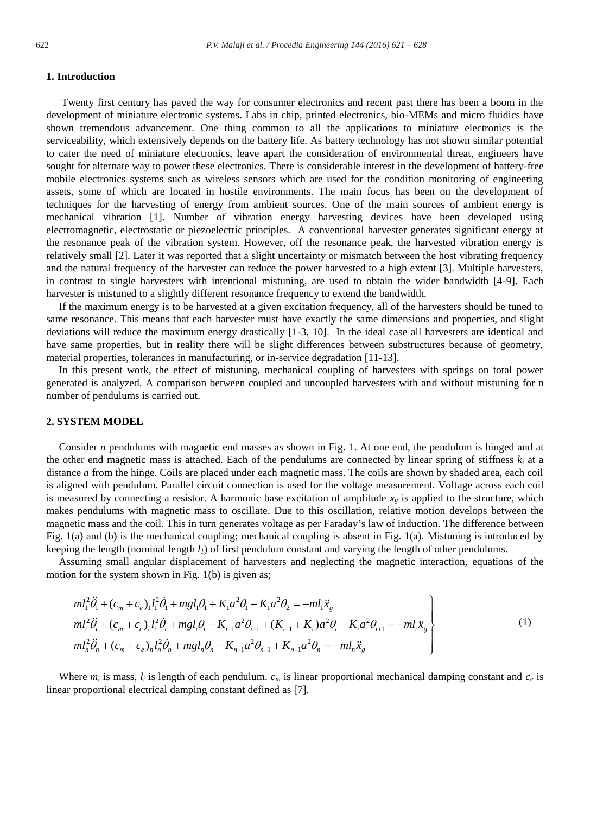# **1. Introduction**

Twenty first century has paved the way for consumer electronics and recent past there has been a boom in the development of miniature electronic systems. Labs in chip, printed electronics, bio-MEMs and micro fluidics have shown tremendous advancement. One thing common to all the applications to miniature electronics is the serviceability, which extensively depends on the battery life. As battery technology has not shown similar potential to cater the need of miniature electronics, leave apart the consideration of environmental threat, engineers have sought for alternate way to power these electronics. There is considerable interest in the development of battery-free mobile electronics systems such as wireless sensors which are used for the condition monitoring of engineering assets, some of which are located in hostile environments. The main focus has been on the development of techniques for the harvesting of energy from ambient sources. One of the main sources of ambient energy is mechanical vibration [1]. Number of vibration energy harvesting devices have been developed using electromagnetic, electrostatic or piezoelectric principles. A conventional harvester generates significant energy at the resonance peak of the vibration system. However, off the resonance peak, the harvested vibration energy is relatively small [2]. Later it was reported that a slight uncertainty or mismatch between the host vibrating frequency and the natural frequency of the harvester can reduce the power harvested to a high extent [3]. Multiple harvesters, in contrast to single harvesters with intentional mistuning, are used to obtain the wider bandwidth [4-9]. Each harvester is mistuned to a slightly different resonance frequency to extend the bandwidth.

If the maximum energy is to be harvested at a given excitation frequency, all of the harvesters should be tuned to same resonance. This means that each harvester must have exactly the same dimensions and properties, and slight deviations will reduce the maximum energy drastically [1-3, 10]. In the ideal case all harvesters are identical and have same properties, but in reality there will be slight differences between substructures because of geometry, material properties, tolerances in manufacturing, or in-service degradation [11-13].

In this present work, the effect of mistuning, mechanical coupling of harvesters with springs on total power generated is analyzed. A comparison between coupled and uncoupled harvesters with and without mistuning for n number of pendulums is carried out.

# **2. SYSTEM MODEL**

Consider *n* pendulums with magnetic end masses as shown in Fig. 1. At one end, the pendulum is hinged and at the other end magnetic mass is attached. Each of the pendulums are connected by linear spring of stiffness *ki* at a distance *a* from the hinge. Coils are placed under each magnetic mass. The coils are shown by shaded area, each coil is aligned with pendulum. Parallel circuit connection is used for the voltage measurement. Voltage across each coil is measured by connecting a resistor. A harmonic base excitation of amplitude  $x_g$  is applied to the structure, which makes pendulums with magnetic mass to oscillate. Due to this oscillation, relative motion develops between the magnetic mass and the coil. This in turn generates voltage as per Faraday's law of induction. The difference between Fig. 1(a) and (b) is the mechanical coupling; mechanical coupling is absent in Fig. 1(a). Mistuning is introduced by keeping the length (nominal length *l1*) of first pendulum constant and varying the length of other pendulums.

Assuming small angular displacement of harvesters and neglecting the magnetic interaction, equations of the motion for the system shown in Fig. 1(b) is given as;

$$
ml_i^2 \ddot{\theta}_i + (c_m + c_e)_i l_i^2 \dot{\theta}_i + mgl_i \theta_i + K_i a^2 \theta_i - K_i a^2 \theta_2 = -ml_i \ddot{x}_g
$$
  
\n
$$
ml_i^2 \ddot{\theta}_i + (c_m + c_e)_i l_i^2 \dot{\theta}_i + mgl_i \theta_i - K_{i-1} a^2 \theta_{i-1} + (K_{i-1} + K_i) a^2 \theta_i - K_i a^2 \theta_{i+1} = -ml_i \ddot{x}_g
$$
  
\n
$$
ml_n^2 \ddot{\theta}_n + (c_m + c_e)_n l_n^2 \dot{\theta}_n + mgl_n \theta_n - K_{n-1} a^2 \theta_{n-1} + K_{n-1} a^2 \theta_n = -ml_n \ddot{x}_g
$$
\n(1)

Where  $m_i$  is mass,  $l_i$  is length of each pendulum.  $c_m$  is linear proportional mechanical damping constant and  $c_e$  is linear proportional electrical damping constant defined as [7].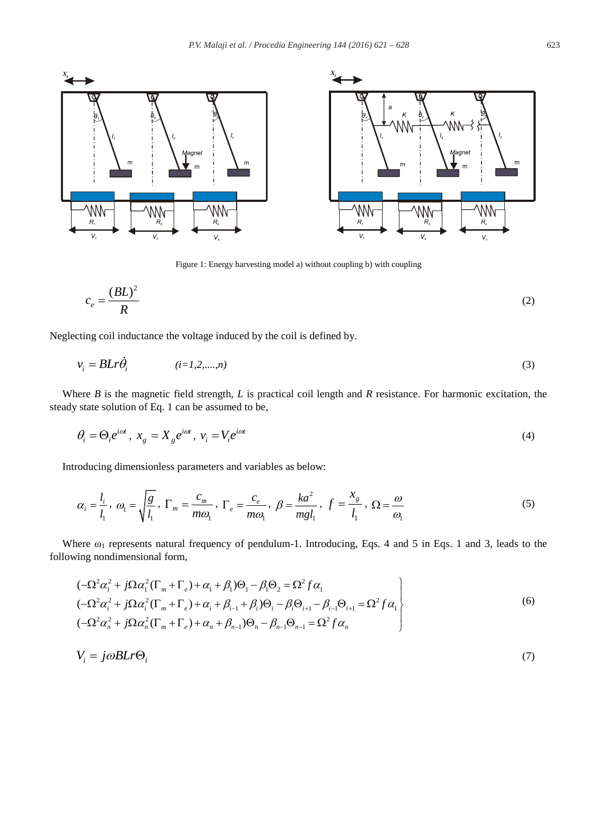

Figure 1: Energy harvesting model a) without coupling b) with coupling

$$
c_e = \frac{(BL)^2}{R}
$$
 (2)

Neglecting coil inductance the voltage induced by the coil is defined by.

$$
v_i = BLr\dot{\theta}_i \qquad (i=1,2,\dots,n) \tag{3}
$$

Where *B* is the magnetic field strength, *L* is practical coil length and *R* resistance. For harmonic excitation, the steady state solution of Eq. 1 can be assumed to be,

$$
\theta_i = \Theta_i e^{i\omega t}, \ x_g = X_g e^{i\omega t}, \ v_i = V_i e^{i\omega t}
$$

Introducing dimensionless parameters and variables as below:

$$
\alpha_i = \frac{l_i}{l_1}, \ \omega_1 = \sqrt{\frac{g}{l_1}}, \ \Gamma_m = \frac{c_m}{m\omega_1}, \ \Gamma_e = \frac{c_e}{m\omega_1}, \ \beta = \frac{ka^2}{mgl_1}, \ f = \frac{x_g}{l_1}, \ \Omega = \frac{\omega}{\omega_1}
$$
(5)

Where  $\omega_1$  represents natural frequency of pendulum-1. Introducing, Eqs. 4 and 5 in Eqs. 1 and 3, leads to the following nondimensional form,

$$
\left(-\Omega^{2}\alpha_{i}^{2} + j\Omega\alpha_{i}^{2}(\Gamma_{m} + \Gamma_{e}) + \alpha_{1} + \beta_{1})\Theta_{1} - \beta_{1}\Theta_{2} = \Omega^{2}f\alpha_{1} \right)
$$
  
\n
$$
\left(-\Omega^{2}\alpha_{i}^{2} + j\Omega\alpha_{i}^{2}(\Gamma_{m} + \Gamma_{e}) + \alpha_{i} + \beta_{i-1} + \beta_{i}\right)\Theta_{i} - \beta_{i}\Theta_{i+1} - \beta_{i-1}\Theta_{i+1} = \Omega^{2}f\alpha_{1} \right\}
$$
  
\n
$$
\left(-\Omega^{2}\alpha_{n}^{2} + j\Omega\alpha_{n}^{2}(\Gamma_{m} + \Gamma_{e}) + \alpha_{n} + \beta_{n-1}\right)\Theta_{n} - \beta_{n-1}\Theta_{n-1} = \Omega^{2}f\alpha_{n} \right]
$$
  
\n(6)

$$
V_i = j\omega BLr\Theta_i \tag{7}
$$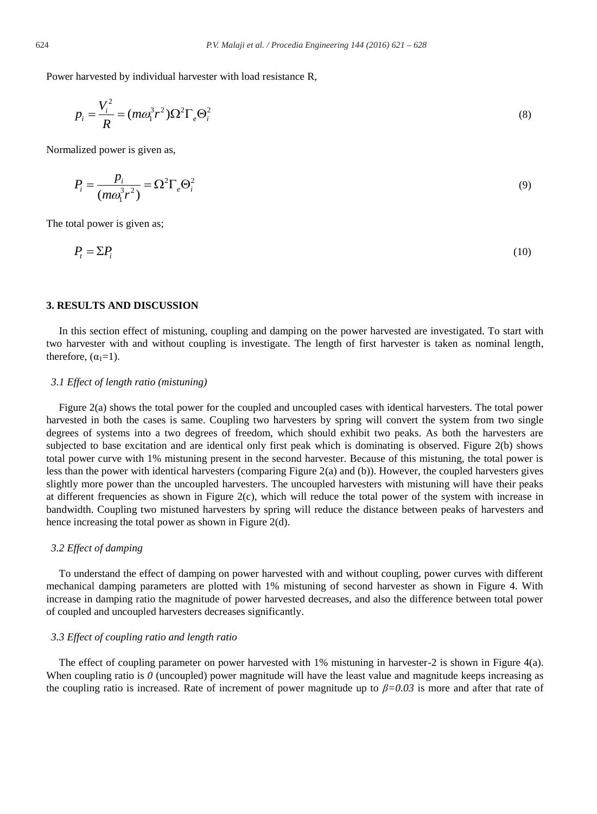Power harvested by individual harvester with load resistance R,

$$
p_i = \frac{V_i^2}{R} = (m\omega_1^3 r^2) \Omega^2 \Gamma_e \Theta_i^2
$$
\n(8)

Normalized power is given as,

$$
P_i = \frac{p_i}{(m\omega_1^3 r^2)} = \Omega^2 \Gamma_e \Theta_i^2
$$
\n(9)

The total power is given as;

$$
P_t = \Sigma P_i \tag{10}
$$

# **3. RESULTS AND DISCUSSION**

In this section effect of mistuning, coupling and damping on the power harvested are investigated. To start with two harvester with and without coupling is investigate. The length of first harvester is taken as nominal length, therefore,  $(\alpha_1=1)$ .

#### *3.1 Effect of length ratio (mistuning)*

Figure 2(a) shows the total power for the coupled and uncoupled cases with identical harvesters. The total power harvested in both the cases is same. Coupling two harvesters by spring will convert the system from two single degrees of systems into a two degrees of freedom, which should exhibit two peaks. As both the harvesters are subjected to base excitation and are identical only first peak which is dominating is observed. Figure 2(b) shows total power curve with 1% mistuning present in the second harvester. Because of this mistuning, the total power is less than the power with identical harvesters (comparing Figure 2(a) and (b)). However, the coupled harvesters gives slightly more power than the uncoupled harvesters. The uncoupled harvesters with mistuning will have their peaks at different frequencies as shown in Figure 2(c), which will reduce the total power of the system with increase in bandwidth. Coupling two mistuned harvesters by spring will reduce the distance between peaks of harvesters and hence increasing the total power as shown in Figure 2(d).

#### *3.2 Effect of damping*

To understand the effect of damping on power harvested with and without coupling, power curves with different mechanical damping parameters are plotted with 1% mistuning of second harvester as shown in Figure 4. With increase in damping ratio the magnitude of power harvested decreases, and also the difference between total power of coupled and uncoupled harvesters decreases significantly.

#### *3.3 Effect of coupling ratio and length ratio*

The effect of coupling parameter on power harvested with 1% mistuning in harvester-2 is shown in Figure 4(a). When coupling ratio is  $\theta$  (uncoupled) power magnitude will have the least value and magnitude keeps increasing as the coupling ratio is increased. Rate of increment of power magnitude up to *β=0.03* is more and after that rate of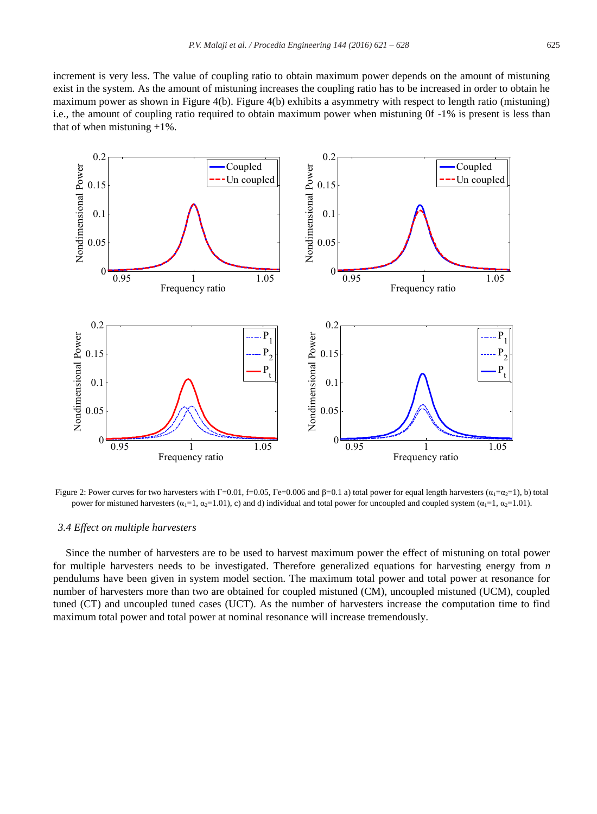increment is very less. The value of coupling ratio to obtain maximum power depends on the amount of mistuning exist in the system. As the amount of mistuning increases the coupling ratio has to be increased in order to obtain he maximum power as shown in Figure 4(b). Figure 4(b) exhibits a asymmetry with respect to length ratio (mistuning) i.e., the amount of coupling ratio required to obtain maximum power when mistuning 0f -1% is present is less than that of when mistuning  $+1\%$ .



Figure 2: Power curves for two harvesters with  $\Gamma = 0.01$ ,  $\Gamma = 0.05$ ,  $\Gamma = 0.006$  and  $\beta = 0.1$  a) total power for equal length harvesters ( $\alpha_1 = \alpha_2 = 1$ ), b) total power for mistuned harvesters  $(\alpha_1=1, \alpha_2=1.01)$ , c) and d) individual and total power for uncoupled and coupled system  $(\alpha_1=1, \alpha_2=1.01)$ .

#### *3.4 Effect on multiple harvesters*

Since the number of harvesters are to be used to harvest maximum power the effect of mistuning on total power for multiple harvesters needs to be investigated. Therefore generalized equations for harvesting energy from *n* pendulums have been given in system model section. The maximum total power and total power at resonance for number of harvesters more than two are obtained for coupled mistuned (CM), uncoupled mistuned (UCM), coupled tuned (CT) and uncoupled tuned cases (UCT). As the number of harvesters increase the computation time to find maximum total power and total power at nominal resonance will increase tremendously.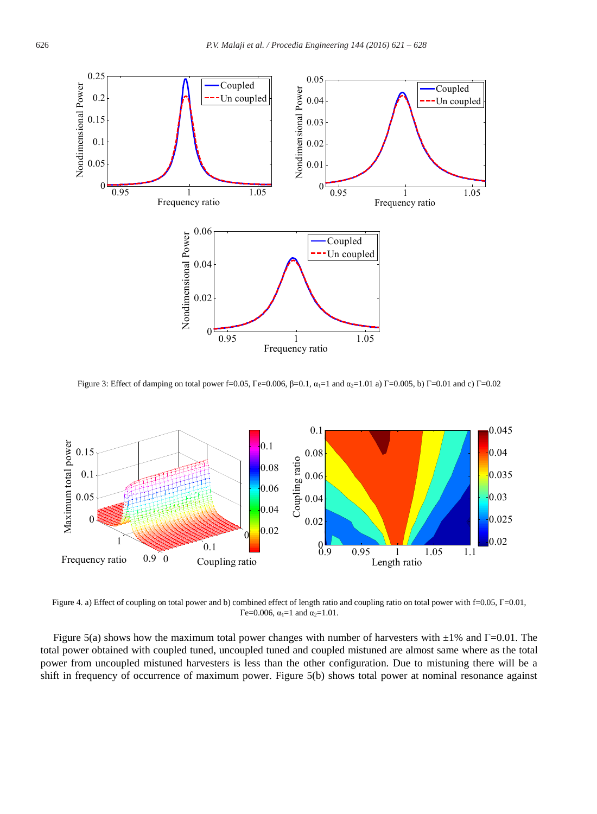

Figure 3: Effect of damping on total power f=0.05, Γe=0.006, β=0.1,  $\alpha_1=1$  and  $\alpha_2=1.01$  a) Γ=0.005, b) Γ=0.01 and c) Γ=0.02



Figure 4. a) Effect of coupling on total power and b) combined effect of length ratio and coupling ratio on total power with f=0.05, Г=0.01, Γe=0.006,  $\alpha_1$ =1 and  $\alpha_2$ =1.01.

Figure 5(a) shows how the maximum total power changes with number of harvesters with  $\pm 1\%$  and  $\Gamma$ =0.01. The total power obtained with coupled tuned, uncoupled tuned and coupled mistuned are almost same where as the total power from uncoupled mistuned harvesters is less than the other configuration. Due to mistuning there will be a shift in frequency of occurrence of maximum power. Figure 5(b) shows total power at nominal resonance against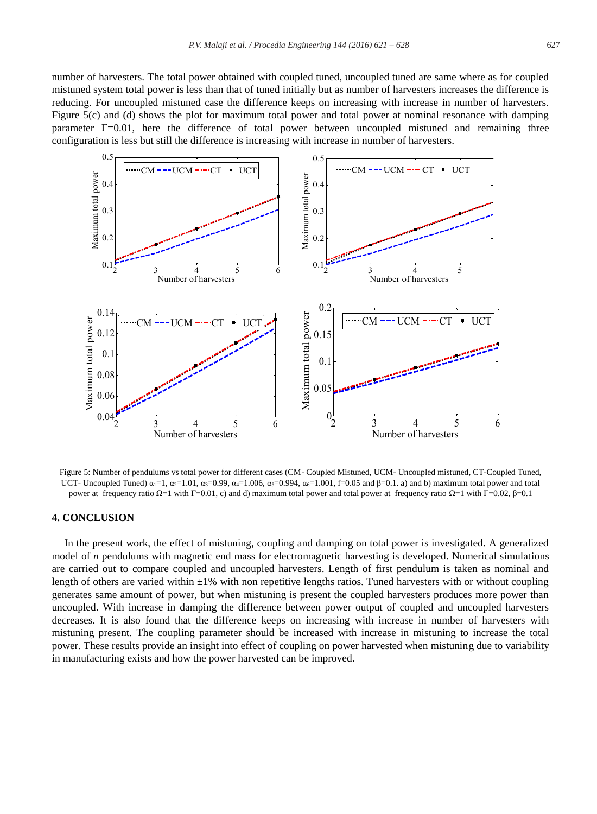number of harvesters. The total power obtained with coupled tuned, uncoupled tuned are same where as for coupled mistuned system total power is less than that of tuned initially but as number of harvesters increases the difference is reducing. For uncoupled mistuned case the difference keeps on increasing with increase in number of harvesters. Figure 5(c) and (d) shows the plot for maximum total power and total power at nominal resonance with damping parameter  $\Gamma$ =0.01, here the difference of total power between uncoupled mistuned and remaining three configuration is less but still the difference is increasing with increase in number of harvesters.



Figure 5: Number of pendulums vs total power for different cases (CM- Coupled Mistuned, UCM- Uncoupled mistuned, CT-Coupled Tuned, UCT- Uncoupled Tuned)  $\alpha_1=1$ ,  $\alpha_2=1.01$ ,  $\alpha_3=0.99$ ,  $\alpha_4=1.006$ ,  $\alpha_5=0.994$ ,  $\alpha_6=1.001$ , f=0.05 and β=0.1. a) and b) maximum total power and total power at frequency ratio Ω=1 with Γ=0.01, c) and d) maximum total power and total power at frequency ratio Ω=1 with Γ=0.02, β=0.1

### **4. CONCLUSION**

In the present work, the effect of mistuning, coupling and damping on total power is investigated. A generalized model of *n* pendulums with magnetic end mass for electromagnetic harvesting is developed. Numerical simulations are carried out to compare coupled and uncoupled harvesters. Length of first pendulum is taken as nominal and length of others are varied within  $\pm 1\%$  with non repetitive lengths ratios. Tuned harvesters with or without coupling generates same amount of power, but when mistuning is present the coupled harvesters produces more power than uncoupled. With increase in damping the difference between power output of coupled and uncoupled harvesters decreases. It is also found that the difference keeps on increasing with increase in number of harvesters with mistuning present. The coupling parameter should be increased with increase in mistuning to increase the total power. These results provide an insight into effect of coupling on power harvested when mistuning due to variability in manufacturing exists and how the power harvested can be improved.